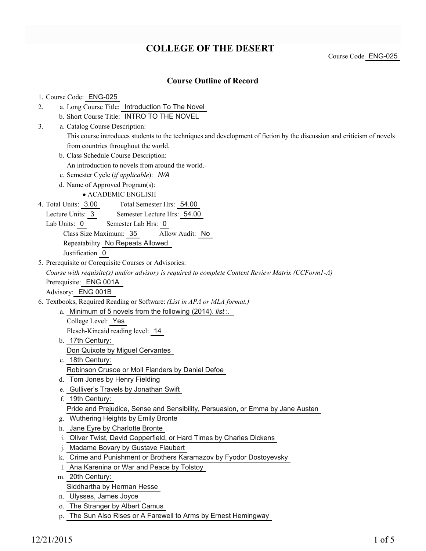# **COLLEGE OF THE DESERT**

Course Code ENG-025

## **Course Outline of Record**

#### 1. Course Code: ENG-025

- a. Long Course Title: Introduction To The Novel 2.
	- b. Short Course Title: INTRO TO THE NOVEL
- Catalog Course Description: a. 3.
	- This course introduces students to the techniques and development of fiction by the discussion and criticism of novels from countries throughout the world.
	- b. Class Schedule Course Description:
		- An introduction to novels from around the world.-
	- c. Semester Cycle (*if applicable*): *N/A*
	- d. Name of Approved Program(s):

ACADEMIC ENGLISH

- Total Semester Hrs: 54.00 4. Total Units: 3.00
	- Lecture Units: 3 Semester Lecture Hrs: 54.00
	- Lab Units: 0 Semester Lab Hrs: 0
		- Class Size Maximum: 35 Allow Audit: No
		- Repeatability No Repeats Allowed

Justification 0

5. Prerequisite or Corequisite Courses or Advisories:

*Course with requisite(s) and/or advisory is required to complete Content Review Matrix (CCForm1-A)* Prerequisite: ENG 001A

Advisory: ENG 001B

- Textbooks, Required Reading or Software: *(List in APA or MLA format.)* 6.
	- a. Minimum of 5 novels from the following (2014). list :.

College Level: Yes

Flesch-Kincaid reading level: 14

- b. 17th Century: Don Quixote by Miguel Cervantes
- 18th Century: c.
	- Robinson Crusoe or Moll Flanders by Daniel Defoe
- d. Tom Jones by Henry Fielding
- e. Gulliver's Travels by Jonathan Swift
- f. 19th Century:

Pride and Prejudice, Sense and Sensibility, Persuasion, or Emma by Jane Austen

- g. Wuthering Heights by Emily Bronte
- h. Jane Eyre by Charlotte Bronte
- i. Oliver Twist, David Copperfield, or Hard Times by Charles Dickens
- j. Madame Bovary by Gustave Flaubert
- k. Crime and Punishment or Brothers Karamazov by Fyodor Dostoyevsky
- l. Ana Karenina or War and Peace by Tolstoy
- 20th Century: m.

Siddhartha by Herman Hesse

- n. Ulysses, James Joyce
- o. The Stranger by Albert Camus
- p. The Sun Also Rises or A Farewell to Arms by Ernest Hemingway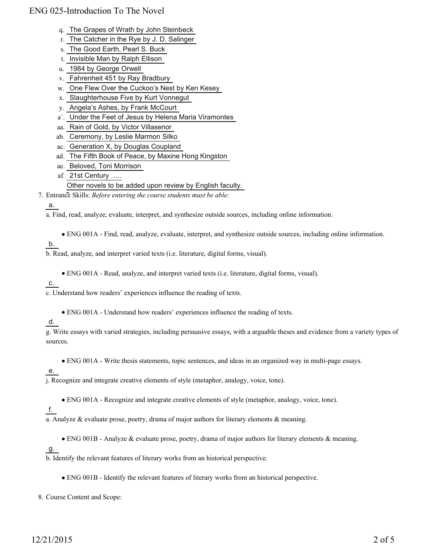- q. The Grapes of Wrath by John Steinbeck
- r. The Catcher in the Rye by J. D. Salinger
- s. The Good Earth, Pearl S. Buck
- t. Invisible Man by Ralph Ellison
- u. 1984 by George Orwell
- v. Fahrenheit 451 by Ray Bradbury
- w. One Flew Over the Cuckoo's Nest by Ken Kesey
- x. Slaughterhouse Five by Kurt Vonnegut
- y. Angela's Ashes, by Frank McCourt
- a`. Under the Feet of Jesus by Helena Maria Viramontes
- aa. Rain of Gold, by Victor Villasenor
- ab. Ceremony, by Leslie Marmon Silko
- ac. Generation X, by Douglas Coupland
- ad. The Fifth Book of Peace, by Maxine Hong Kingston
- ae. Beloved, Toni Morrison
- 21st Century ….. af.

#### Other novels to be added upon review by English faculty.

Entrance Skills: *Before entering the course students must be able:* 7.

#### a.

a. Find, read, analyze, evaluate, interpret, and synthesize outside sources, including online information.

ENG 001A - Find, read, analyze, evaluate, interpret, and synthesize outside sources, including online information.

$$
\mathsf{b}.
$$

b. Read, analyze, and interpret varied texts (i.e. literature, digital forms, visual).

ENG 001A - Read, analyze, and interpret varied texts (i.e. literature, digital forms, visual).

c.

c. Understand how readers' experiences influence the reading of texts.

ENG 001A - Understand how readers' experiences influence the reading of texts.

### d.

g. Write essays with varied strategies, including persuasive essays, with a arguable theses and evidence from a variety types of sources.

ENG 001A - Write thesis statements, topic sentences, and ideas in an organized way in multi-page essays.

e.

j. Recognize and integrate creative elements of style (metaphor, analogy, voice, tone).

ENG 001A - Recognize and integrate creative elements of style (metaphor, analogy, voice, tone).

```
f.
```
a. Analyze & evaluate prose, poetry, drama of major authors for literary elements  $\&$  meaning.

ENG 001B - Analyze & evaluate prose, poetry, drama of major authors for literary elements & meaning.

g.

b. Identify the relevant features of literary works from an historical perspective.

ENG 001B - Identify the relevant features of literary works from an historical perspective.

8. Course Content and Scope: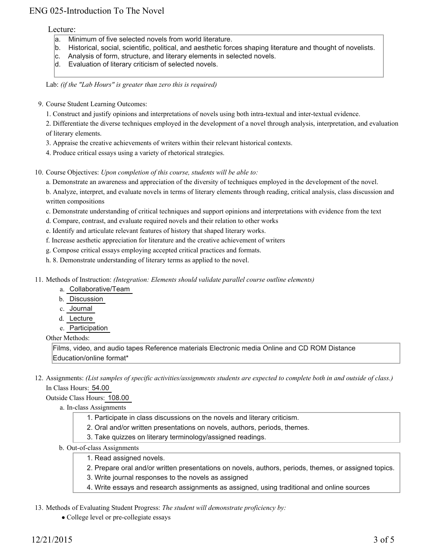#### Lecture:

- a. Minimum of five selected novels from world literature.
- b. Historical, social, scientific, political, and aesthetic forces shaping literature and thought of novelists.
- c. Analysis of form, structure, and literary elements in selected novels.
- d. Evaluation of literary criticism of selected novels.

Lab: *(if the "Lab Hours" is greater than zero this is required)*

- 9. Course Student Learning Outcomes:
	- 1. Construct and justify opinions and interpretations of novels using both intra-textual and inter-textual evidence.

2. Differentiate the diverse techniques employed in the development of a novel through analysis, interpretation, and evaluation of literary elements.

- 3. Appraise the creative achievements of writers within their relevant historical contexts.
- 4. Produce critical essays using a variety of rhetorical strategies.

10. Course Objectives: Upon completion of this course, students will be able to:

a. Demonstrate an awareness and appreciation of the diversity of techniques employed in the development of the novel.

b. Analyze, interpret, and evaluate novels in terms of literary elements through reading, critical analysis, class discussion and written compositions

c. Demonstrate understanding of critical techniques and support opinions and interpretations with evidence from the text

- d. Compare, contrast, and evaluate required novels and their relation to other works
- e. Identify and articulate relevant features of history that shaped literary works.
- f. Increase aesthetic appreciation for literature and the creative achievement of writers
- g. Compose critical essays employing accepted critical practices and formats.
- h. 8. Demonstrate understanding of literary terms as applied to the novel.
- Methods of Instruction: *(Integration: Elements should validate parallel course outline elements)* 11.
	- a. Collaborative/Team
	- b. Discussion
	- c. Journal
	- d. Lecture
	- e. Participation

Other Methods:

Films, video, and audio tapes Reference materials Electronic media Online and CD ROM Distance Education/online format\*

12. Assignments: (List samples of specific activities/assignments students are expected to complete both in and outside of class.) In Class Hours: 54.00

#### Outside Class Hours: 108.00

#### a. In-class Assignments

- 1. Participate in class discussions on the novels and literary criticism.
- 2. Oral and/or written presentations on novels, authors, periods, themes.
- 3. Take quizzes on literary terminology/assigned readings.
- b. Out-of-class Assignments
	- 1. Read assigned novels.
	- 2. Prepare oral and/or written presentations on novels, authors, periods, themes, or assigned topics.
	- 3. Write journal responses to the novels as assigned
	- 4. Write essays and research assignments as assigned, using traditional and online sources

#### 13. Methods of Evaluating Student Progress: The student will demonstrate proficiency by:

• College level or pre-collegiate essays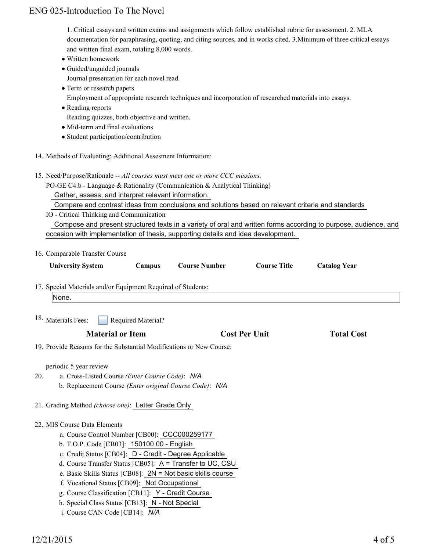1. Critical essays and written exams and assignments which follow established rubric for assessment. 2. MLA documentation for paraphrasing, quoting, and citing sources, and in works cited. 3.Minimum of three critical essays and written final exam, totaling 8,000 words.

- Written homework
- Guided/unguided journals
- Journal presentation for each novel read.
- Term or research papers
- Employment of appropriate research techniques and incorporation of researched materials into essays.
- Reading reports

Reading quizzes, both objective and written.

- Mid-term and final evaluations
- Student participation/contribution
- 14. Methods of Evaluating: Additional Assesment Information:
- 15. Need/Purpose/Rationale -- All courses must meet one or more CCC missions.

PO-GE C4.b - Language & Rationality (Communication & Analytical Thinking)

Gather, assess, and interpret relevant information.

Compare and contrast ideas from conclusions and solutions based on relevant criteria and standards

IO - Critical Thinking and Communication

 Compose and present structured texts in a variety of oral and written forms according to purpose, audience, and occasion with implementation of thesis, supporting details and idea development.

|                         | 16. Comparable Transfer Course                                            |                    |                                                                      |                      |                     |  |
|-------------------------|---------------------------------------------------------------------------|--------------------|----------------------------------------------------------------------|----------------------|---------------------|--|
|                         | <b>University System</b>                                                  | Campus             | <b>Course Number</b>                                                 | <b>Course Title</b>  | <b>Catalog Year</b> |  |
|                         | 17. Special Materials and/or Equipment Required of Students:              |                    |                                                                      |                      |                     |  |
| None.                   |                                                                           |                    |                                                                      |                      |                     |  |
| 18. Materials Fees:     |                                                                           | Required Material? |                                                                      |                      |                     |  |
| <b>Material or Item</b> |                                                                           |                    |                                                                      | <b>Cost Per Unit</b> | <b>Total Cost</b>   |  |
|                         |                                                                           |                    | 19. Provide Reasons for the Substantial Modifications or New Course: |                      |                     |  |
| 20.                     | periodic 5 year review<br>a. Cross-Listed Course (Enter Course Code): N/A |                    | b. Replacement Course (Enter original Course Code): N/A              |                      |                     |  |
|                         | 21. Grading Method (choose one): Letter Grade Only                        |                    |                                                                      |                      |                     |  |
|                         | 22. MIS Course Data Elements                                              |                    |                                                                      |                      |                     |  |
|                         | a. Course Control Number [CB00]: CCC000259177                             |                    |                                                                      |                      |                     |  |
|                         | b. T.O.P. Code [CB03]: 150100.00 - English                                |                    |                                                                      |                      |                     |  |
|                         |                                                                           |                    | c. Credit Status [CB04]: D - Credit - Degree Applicable              |                      |                     |  |
|                         |                                                                           |                    | d. Course Transfer Status [CB05]: A = Transfer to UC, CSU            |                      |                     |  |
|                         |                                                                           |                    | e. Basic Skills Status [CB08]: $2N = Not basic skills course$        |                      |                     |  |
|                         | f. Vocational Status [CB09]: Not Occupational                             |                    |                                                                      |                      |                     |  |
|                         | g. Course Classification [CB11]: Y - Credit Course                        |                    |                                                                      |                      |                     |  |
|                         | h. Special Class Status [CB13]: N - Not Special                           |                    |                                                                      |                      |                     |  |
|                         | i. Course CAN Code [CB14]: N/A                                            |                    |                                                                      |                      |                     |  |